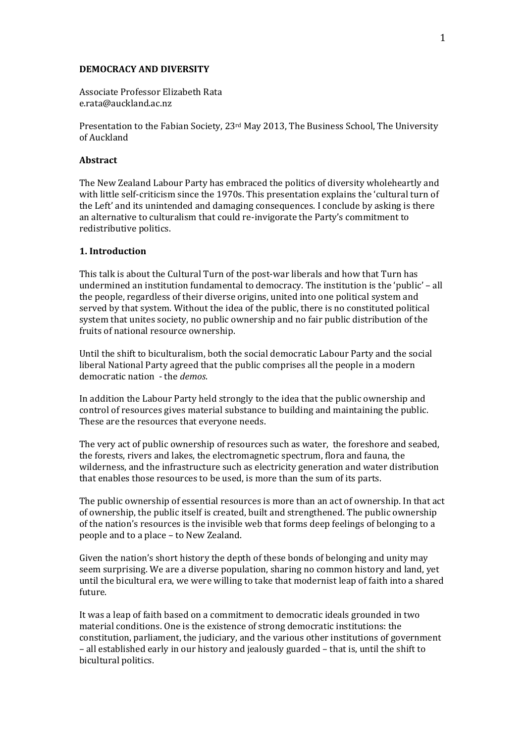#### **DEMOCRACY AND DIVERSITY**

Associate Professor Elizabeth Rata e.rata@auckland.ac.nz

Presentation to the Fabian Society, 23<sup>rd</sup> May 2013, The Business School, The University of Auckland

### **Abstract**

The New Zealand Labour Party has embraced the politics of diversity wholeheartly and with little self-criticism since the 1970s. This presentation explains the 'cultural turn of the Left' and its unintended and damaging consequences. I conclude by asking is there an alternative to culturalism that could re-invigorate the Party's commitment to redistributive politics.

# 1. Introduction

This talk is about the Cultural Turn of the post-war liberals and how that Turn has undermined an institution fundamental to democracy. The institution is the 'public' - all the people, regardless of their diverse origins, united into one political system and served by that system. Without the idea of the public, there is no constituted political system that unites society, no public ownership and no fair public distribution of the fruits of national resource ownership.

Until the shift to biculturalism, both the social democratic Labour Party and the social liberal National Party agreed that the public comprises all the people in a modern democratic nation - the *demos*.

In addition the Labour Party held strongly to the idea that the public ownership and control of resources gives material substance to building and maintaining the public. These are the resources that everyone needs.

The very act of public ownership of resources such as water, the foreshore and seabed, the forests, rivers and lakes, the electromagnetic spectrum, flora and fauna, the wilderness, and the infrastructure such as electricity generation and water distribution that enables those resources to be used, is more than the sum of its parts.

The public ownership of essential resources is more than an act of ownership. In that act of ownership, the public itself is created, built and strengthened. The public ownership of the nation's resources is the invisible web that forms deep feelings of belonging to a people and to a place - to New Zealand.

Given the nation's short history the depth of these bonds of belonging and unity may seem surprising. We are a diverse population, sharing no common history and land, yet until the bicultural era, we were willing to take that modernist leap of faith into a shared future.

It was a leap of faith based on a commitment to democratic ideals grounded in two material conditions. One is the existence of strong democratic institutions: the constitution, parliament, the judiciary, and the various other institutions of government - all established early in our history and jealously guarded - that is, until the shift to bicultural politics.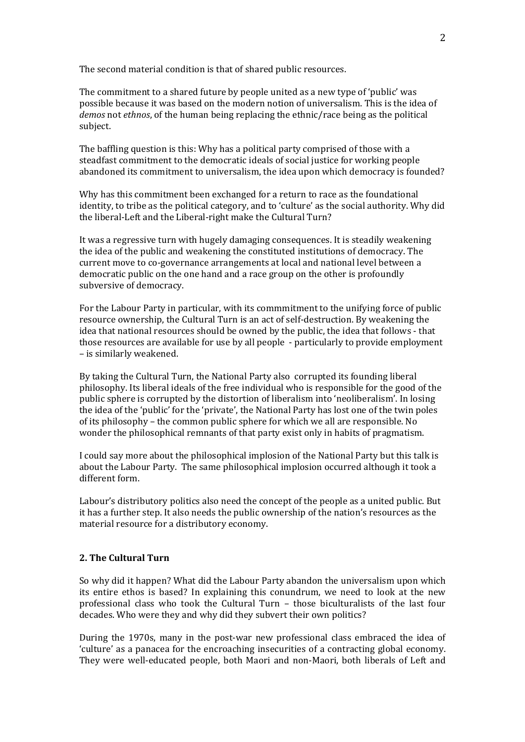The second material condition is that of shared public resources.

The commitment to a shared future by people united as a new type of 'public' was possible because it was based on the modern notion of universalism. This is the idea of *demos* not *ethnos*, of the human being replacing the ethnic/race being as the political subject.

The baffling question is this: Why has a political party comprised of those with a steadfast commitment to the democratic ideals of social justice for working people abandoned its commitment to universalism, the idea upon which democracy is founded?

Why has this commitment been exchanged for a return to race as the foundational identity, to tribe as the political category, and to 'culture' as the social authority. Why did the liberal-Left and the Liberal-right make the Cultural Turn?

It was a regressive turn with hugely damaging consequences. It is steadily weakening the idea of the public and weakening the constituted institutions of democracy. The current move to co-governance arrangements at local and national level between a democratic public on the one hand and a race group on the other is profoundly subversive of democracy.

For the Labour Party in particular, with its commmitment to the unifying force of public resource ownership, the Cultural Turn is an act of self-destruction. By weakening the idea that national resources should be owned by the public, the idea that follows - that those resources are available for use by all people - particularly to provide employment - is similarly weakened.

By taking the Cultural Turn, the National Party also corrupted its founding liberal philosophy. Its liberal ideals of the free individual who is responsible for the good of the public sphere is corrupted by the distortion of liberalism into 'neoliberalism'. In losing the idea of the 'public' for the 'private', the National Party has lost one of the twin poles of its philosophy – the common public sphere for which we all are responsible. No wonder the philosophical remnants of that party exist only in habits of pragmatism.

I could say more about the philosophical implosion of the National Party but this talk is about the Labour Party. The same philosophical implosion occurred although it took a different form.

Labour's distributory politics also need the concept of the people as a united public. But it has a further step. It also needs the public ownership of the nation's resources as the material resource for a distributory economy.

# 2. The Cultural Turn

So why did it happen? What did the Labour Party abandon the universalism upon which its entire ethos is based? In explaining this conundrum, we need to look at the new professional class who took the Cultural Turn - those biculturalists of the last four decades. Who were they and why did they subvert their own politics?

During the 1970s, many in the post-war new professional class embraced the idea of 'culture' as a panacea for the encroaching insecurities of a contracting global economy. They were well-educated people, both Maori and non-Maori, both liberals of Left and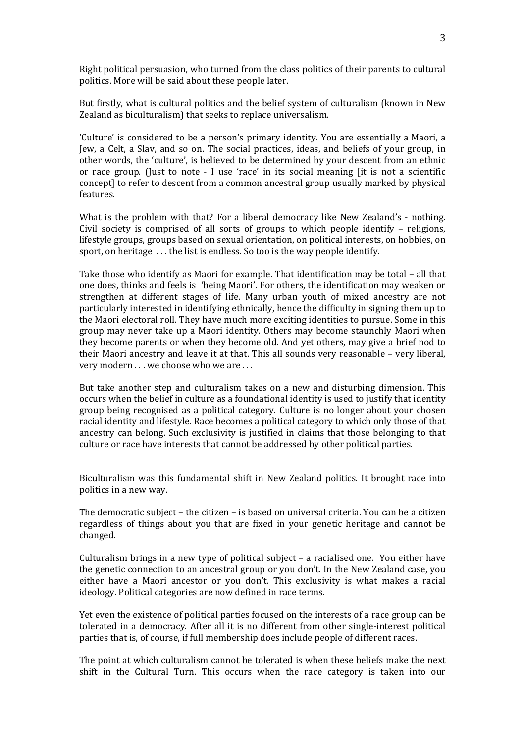Right political persuasion, who turned from the class politics of their parents to cultural politics. More will be said about these people later.

But firstly, what is cultural politics and the belief system of culturalism (known in New Zealand as biculturalism) that seeks to replace universalism.

'Culture' is considered to be a person's primary identity. You are essentially a Maori, a Jew, a Celt, a Slav, and so on. The social practices, ideas, and beliefs of your group, in other words, the 'culture', is believed to be determined by your descent from an ethnic or race group. (Just to note - I use 'race' in its social meaning [it is not a scientific concept] to refer to descent from a common ancestral group usually marked by physical features.

What is the problem with that? For a liberal democracy like New Zealand's - nothing. Civil society is comprised of all sorts of groups to which people identify – religions, lifestyle groups, groups based on sexual orientation, on political interests, on hobbies, on sport, on heritage ... the list is endless. So too is the way people identify.

Take those who identify as Maori for example. That identification may be total – all that one does, thinks and feels is 'being Maori'. For others, the identification may weaken or strengthen at different stages of life. Many urban youth of mixed ancestry are not particularly interested in identifying ethnically, hence the difficulty in signing them up to the Maori electoral roll. They have much more exciting identities to pursue. Some in this group may never take up a Maori identity. Others may become staunchly Maori when they become parents or when they become old. And yet others, may give a brief nod to their Maori ancestry and leave it at that. This all sounds very reasonable – very liberal, very modern . . . we choose who we are . . .

But take another step and culturalism takes on a new and disturbing dimension. This occurs when the belief in culture as a foundational identity is used to justify that identity group being recognised as a political category. Culture is no longer about your chosen racial identity and lifestyle. Race becomes a political category to which only those of that ancestry can belong. Such exclusivity is justified in claims that those belonging to that culture or race have interests that cannot be addressed by other political parties.

Biculturalism was this fundamental shift in New Zealand politics. It brought race into politics in a new way.

The democratic subject – the citizen – is based on universal criteria. You can be a citizen regardless of things about you that are fixed in your genetic heritage and cannot be changed.!

Culturalism brings in a new type of political subject – a racialised one. You either have the genetic connection to an ancestral group or you don't. In the New Zealand case, you either have a Maori ancestor or you don't. This exclusivity is what makes a racial ideology. Political categories are now defined in race terms.

Yet even the existence of political parties focused on the interests of a race group can be tolerated in a democracy. After all it is no different from other single-interest political parties that is, of course, if full membership does include people of different races.

The point at which culturalism cannot be tolerated is when these beliefs make the next shift in the Cultural Turn. This occurs when the race category is taken into our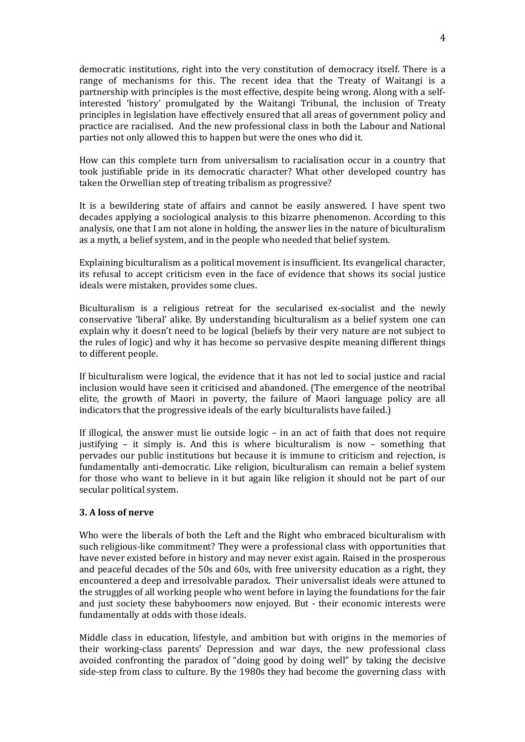democratic institutions, right into the very constitution of democracy itself. There is a range of mechanisms for this. The recent idea that the Treaty of Waitangi is a partnership with principles is the most effective, despite being wrong. Along with a selfinterested 'history' promulgated by the Waitangi Tribunal, the inclusion of Treaty principles in legislation have effectively ensured that all areas of government policy and practice are racialised. And the new professional class in both the Labour and National parties not only allowed this to happen but were the ones who did it.

How can this complete turn from universalism to racialisation occur in a country that took justifiable pride in its democratic character? What other developed country has taken the Orwellian step of treating tribalism as progressive?

It is a bewildering state of affairs and cannot be easily answered. I have spent two decades applying a sociological analysis to this bizarre phenomenon. According to this analysis, one that I am not alone in holding, the answer lies in the nature of biculturalism as a myth, a belief system, and in the people who needed that belief system.

Explaining biculturalism as a political movement is insufficient. Its evangelical character, its refusal to accept criticism even in the face of evidence that shows its social justice ideals were mistaken, provides some clues.

Biculturalism is a religious retreat for the secularised ex-socialist and the newly conservative 'liberal' alike. By understanding biculturalism as a belief system one can explain why it doesn't need to be logical (beliefs by their very nature are not subject to the rules of logic) and why it has become so pervasive despite meaning different things to different people.

If biculturalism were logical, the evidence that it has not led to social justice and racial inclusion would have seen it criticised and abandoned. (The emergence of the neotribal elite, the growth of Maori in poverty, the failure of Maori language policy are all indicators that the progressive ideals of the early biculturalists have failed.)

If illogical, the answer must lie outside logic – in an act of faith that does not require justifying  $-$  it simply is. And this is where biculturalism is now  $-$  something that pervades our public institutions but because it is immune to criticism and rejection, is fundamentally anti-democratic. Like religion, biculturalism can remain a belief system for those who want to believe in it but again like religion it should not be part of our secular political system.

# **3.)A)loss)of)nerve**

Who were the liberals of both the Left and the Right who embraced biculturalism with such religious-like commitment? They were a professional class with opportunities that have never existed before in history and may never exist again. Raised in the prosperous and peaceful decades of the 50s and 60s, with free university education as a right, they encountered a deep and irresolvable paradox. Their universalist ideals were attuned to the struggles of all working people who went before in laying the foundations for the fair and just society these babyboomers now enjoyed. But - their economic interests were fundamentally at odds with those ideals.

Middle class in education, lifestyle, and ambition but with origins in the memories of their working-class parents' Depression and war days, the new professional class avoided confronting the paradox of "doing good by doing well" by taking the decisive side-step from class to culture. By the 1980s they had become the governing class with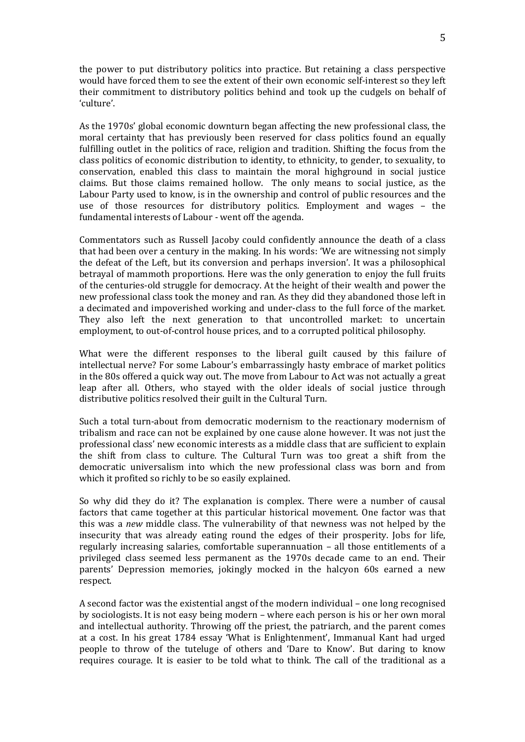the power to put distributory politics into practice. But retaining a class perspective would have forced them to see the extent of their own economic self-interest so they left their commitment to distributory politics behind and took up the cudgels on behalf of 'culture'.

As the 1970s' global economic downturn began affecting the new professional class, the moral certainty that has previously been reserved for class politics found an equally fulfilling outlet in the politics of race, religion and tradition. Shifting the focus from the class politics of economic distribution to identity, to ethnicity, to gender, to sexuality, to conservation, enabled this class to maintain the moral highground in social justice claims. But those claims remained hollow. The only means to social justice, as the Labour Party used to know, is in the ownership and control of public resources and the use of those resources for distributory politics. Employment and wages – the fundamental interests of Labour - went off the agenda.

Commentators such as Russell Jacoby could confidently announce the death of a class that had been over a century in the making. In his words: 'We are witnessing not simply the defeat of the Left, but its conversion and perhaps inversion'. It was a philosophical betrayal of mammoth proportions. Here was the only generation to enjoy the full fruits of the centuries-old struggle for democracy. At the height of their wealth and power the new professional class took the money and ran. As they did they abandoned those left in a decimated and impoverished working and under-class to the full force of the market. They also left the next generation to that uncontrolled market: to uncertain employment, to out-of-control house prices, and to a corrupted political philosophy.

What were the different responses to the liberal guilt caused by this failure of intellectual nerve? For some Labour's embarrassingly hasty embrace of market politics in the 80s offered a quick way out. The move from Labour to Act was not actually a great leap after all. Others, who stayed with the older ideals of social justice through distributive politics resolved their guilt in the Cultural Turn.

Such a total turn-about from democratic modernism to the reactionary modernism of tribalism and race can not be explained by one cause alone however. It was not just the professional class' new economic interests as a middle class that are sufficient to explain the shift from class to culture. The Cultural Turn was too great a shift from the democratic universalism into which the new professional class was born and from which it profited so richly to be so easily explained.

So why did they do it? The explanation is complex. There were a number of causal factors that came together at this particular historical movement. One factor was that this was a new middle class. The vulnerability of that newness was not helped by the insecurity that was already eating round the edges of their prosperity. Jobs for life, regularly increasing salaries, comfortable superannuation – all those entitlements of a privileged class seemed less permanent as the 1970s decade came to an end. Their parents' Depression memories, jokingly mocked in the halcyon 60s earned a new respect.

A second factor was the existential angst of the modern individual – one long recognised by sociologists. It is not easy being modern – where each person is his or her own moral and intellectual authority. Throwing off the priest, the patriarch, and the parent comes at a cost. In his great 1784 essay 'What is Enlightenment', Immanual Kant had urged people to throw of the tuteluge of others and 'Dare to Know'. But daring to know requires courage. It is easier to be told what to think. The call of the traditional as a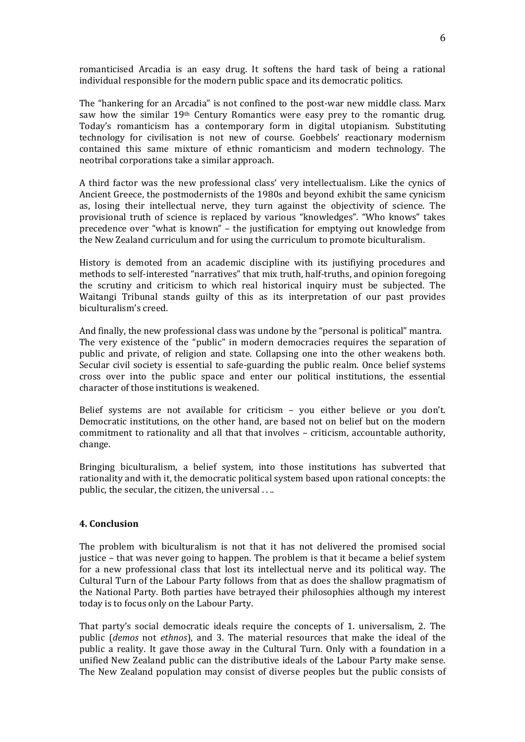romanticised Arcadia is an easy drug. It softens the hard task of being a rational individual responsible for the modern public space and its democratic politics.

The "hankering for an Arcadia" is not confined to the post-war new middle class. Marx saw how the similar  $19<sup>th</sup>$  Century Romantics were easy prey to the romantic drug. Today's romanticism has a contemporary form in digital utopianism. Substituting technology for civilisation is not new of course. Goebbels' reactionary modernism contained this same mixture of ethnic romanticism and modern technology. The neotribal corporations take a similar approach.

A third factor was the new professional class' very intellectualism. Like the cynics of Ancient Greece, the postmodernists of the 1980s and beyond exhibit the same cynicism as, losing their intellectual nerve, they turn against the objectivity of science. The provisional truth of science is replaced by various "knowledges". "Who knows" takes precedence over "what is known" – the justification for emptying out knowledge from the New Zealand curriculum and for using the curriculum to promote biculturalism.

History is demoted from an academic discipline with its justifiying procedures and methods to self-interested "narratives" that mix truth, half-truths, and opinion foregoing the scrutiny and criticism to which real historical inquiry must be subjected. The Waitangi Tribunal stands guilty of this as its interpretation of our past provides biculturalism's creed.

And finally, the new professional class was undone by the "personal is political" mantra. The very existence of the "public" in modern democracies requires the separation of public and private, of religion and state. Collapsing one into the other weakens both. Secular civil society is essential to safe-guarding the public realm. Once belief systems cross over into the public space and enter our political institutions, the essential character of those institutions is weakened.

Belief systems are not available for criticism - you either believe or you don't. Democratic institutions, on the other hand, are based not on belief but on the modern commitment to rationality and all that that involves - criticism, accountable authority. change.

Bringing biculturalism, a belief system, into those institutions has subverted that rationality and with it, the democratic political system based upon rational concepts: the public, the secular, the citizen, the universal...

# 4. Conclusion

The problem with biculturalism is not that it has not delivered the promised social justice – that was never going to happen. The problem is that it became a belief system for a new professional class that lost its intellectual nerve and its political way. The Cultural Turn of the Labour Party follows from that as does the shallow pragmatism of the National Party. Both parties have betrayed their philosophies although my interest today is to focus only on the Labour Party.

That party's social democratic ideals require the concepts of 1. universalism, 2. The public (demos not ethnos), and 3. The material resources that make the ideal of the public a reality. It gave those away in the Cultural Turn. Only with a foundation in a unified New Zealand public can the distributive ideals of the Labour Party make sense. The New Zealand population may consist of diverse peoples but the public consists of